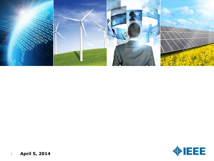

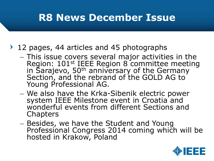## **R8 News December Issue**

## ▶ 12 pages, 44 articles and 45 photographs

- This issue covers several major activities in the Region: 101st IEEE Region 8 committee meeting in Sarajevo, 50<sup>th</sup> anniversary of the Germany Section, and the rebrand of the GOLD AG to Young Professional AG.
- We also have the Krka-Sibenik electric power system IEEE Milestone event in Croatia and wonderful events from different Sections and **Chapters**
- Besides, we have the Student and Young Professional Congress 2014 coming which will be hosted in Krakow, Poland

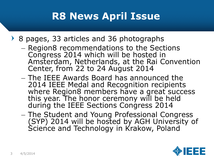## **R8 News April Issue**

- 8 pages, 33 articles and 36 photographs
	- Region8 recommendations to the Sections Congress 2014 which will be hosted in Amsterdam, Netherlands, at the Rai Convention Center, from 22 to 24 August 2014
	- The IEEE Awards Board has announced the 2014 IEEE Medal and Recognition recipients where Region8 members have a great success this year. The honor ceremony will be held during the IEEE Sections Congress 2014
	- The Student and Young Professional Congress (SYP) 2014 will be hosted by AGH University of Science and Technology in Krakow, Poland